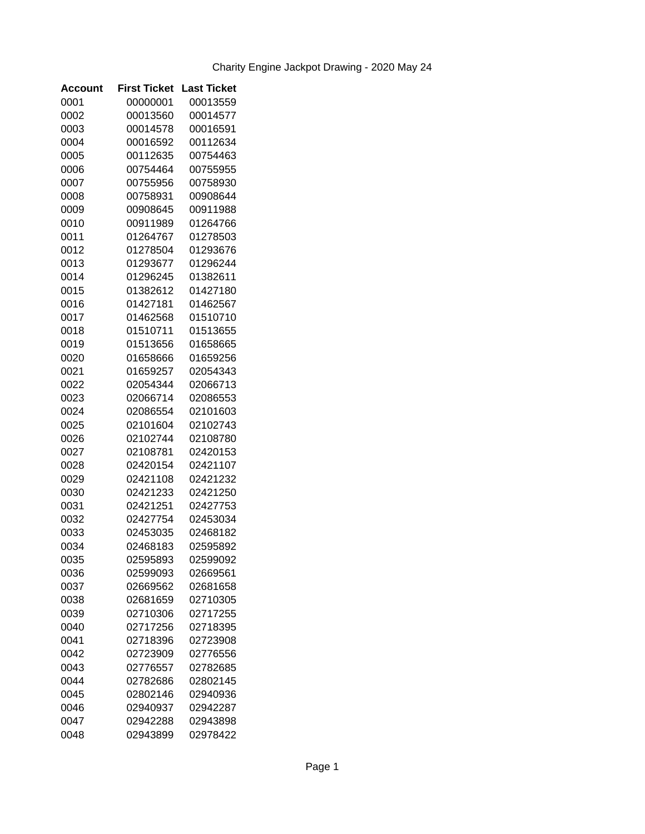| Account | <b>First Ticket</b> | <b>Last Ticket</b> |
|---------|---------------------|--------------------|
| 0001    | 00000001            | 00013559           |
| 0002    | 00013560            | 00014577           |
| 0003    | 00014578            | 00016591           |
| 0004    | 00016592            | 00112634           |
| 0005    | 00112635            | 00754463           |
| 0006    | 00754464            | 00755955           |
| 0007    | 00755956            | 00758930           |
| 0008    | 00758931            | 00908644           |
| 0009    | 00908645            | 00911988           |
| 0010    | 00911989            | 01264766           |
| 0011    | 01264767            | 01278503           |
| 0012    | 01278504            | 01293676           |
| 0013    | 01293677            | 01296244           |
| 0014    | 01296245            | 01382611           |
| 0015    | 01382612            | 01427180           |
| 0016    | 01427181            | 01462567           |
| 0017    | 01462568            | 01510710           |
| 0018    | 01510711            | 01513655           |
| 0019    | 01513656            | 01658665           |
| 0020    | 01658666            | 01659256           |
| 0021    | 01659257            | 02054343           |
| 0022    | 02054344            | 02066713           |
| 0023    | 02066714            | 02086553           |
| 0024    | 02086554            | 02101603           |
| 0025    | 02101604            | 02102743           |
| 0026    | 02102744            | 02108780           |
| 0027    | 02108781            | 02420153           |
| 0028    | 02420154            | 02421107           |
| 0029    | 02421108            | 02421232           |
| 0030    | 02421233            | 02421250           |
| 0031    | 02421251            | 02427753           |
| 0032    | 02427754            | 02453034           |
| 0033    | 02453035            | 02468182           |
| 0034    | 02468183            | 02595892           |
| 0035    | 02595893            | 02599092           |
| 0036    | 02599093            | 02669561           |
| 0037    | 02669562            | 02681658           |
| 0038    | 02681659            | 02710305           |
| 0039    | 02710306            | 02717255           |
| 0040    | 02717256            | 02718395           |
| 0041    | 02718396            | 02723908           |
| 0042    | 02723909            | 02776556           |
| 0043    | 02776557            | 02782685           |
| 0044    | 02782686            | 02802145           |
| 0045    | 02802146            | 02940936           |
| 0046    | 02940937            | 02942287           |
| 0047    | 02942288            | 02943898           |
| 0048    | 02943899            | 02978422           |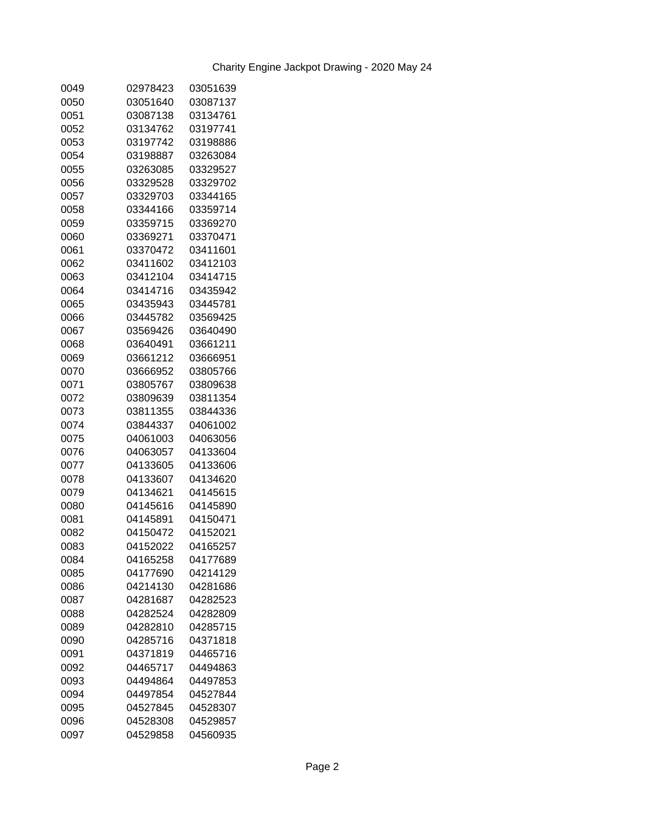| 0049 | 02978423 | 03051639 |
|------|----------|----------|
| 0050 | 03051640 | 03087137 |
| 0051 | 03087138 | 03134761 |
| 0052 | 03134762 | 03197741 |
| 0053 | 03197742 | 03198886 |
| 0054 | 03198887 | 03263084 |
| 0055 | 03263085 | 03329527 |
| 0056 | 03329528 | 03329702 |
| 0057 | 03329703 | 03344165 |
| 0058 | 03344166 | 03359714 |
| 0059 | 03359715 | 03369270 |
| 0060 | 03369271 | 03370471 |
| 0061 | 03370472 | 03411601 |
| 0062 | 03411602 | 03412103 |
| 0063 | 03412104 | 03414715 |
| 0064 | 03414716 | 03435942 |
| 0065 | 03435943 | 03445781 |
| 0066 | 03445782 | 03569425 |
| 0067 | 03569426 | 03640490 |
| 0068 | 03640491 | 03661211 |
| 0069 | 03661212 | 03666951 |
| 0070 | 03666952 | 03805766 |
| 0071 | 03805767 | 03809638 |
|      |          |          |
| 0072 | 03809639 | 03811354 |
| 0073 | 03811355 | 03844336 |
| 0074 | 03844337 | 04061002 |
| 0075 | 04061003 | 04063056 |
| 0076 | 04063057 | 04133604 |
| 0077 | 04133605 | 04133606 |
| 0078 | 04133607 | 04134620 |
| 0079 | 04134621 | 04145615 |
| 0080 | 04145616 | 04145890 |
| 0081 | 04145891 | 04150471 |
| 0082 | 04150472 | 04152021 |
| 0083 | 04152022 | 04165257 |
| 0084 | 04165258 | 04177689 |
| 0085 | 04177690 | 04214129 |
| 0086 | 04214130 | 04281686 |
| 0087 | 04281687 | 04282523 |
| 0088 | 04282524 | 04282809 |
| 0089 | 04282810 | 04285715 |
| 0090 | 04285716 | 04371818 |
| 0091 | 04371819 | 04465716 |
| 0092 | 04465717 | 04494863 |
| 0093 | 04494864 | 04497853 |
| 0094 | 04497854 | 04527844 |
| 0095 | 04527845 | 04528307 |
| 0096 | 04528308 | 04529857 |
| 0097 | 04529858 | 04560935 |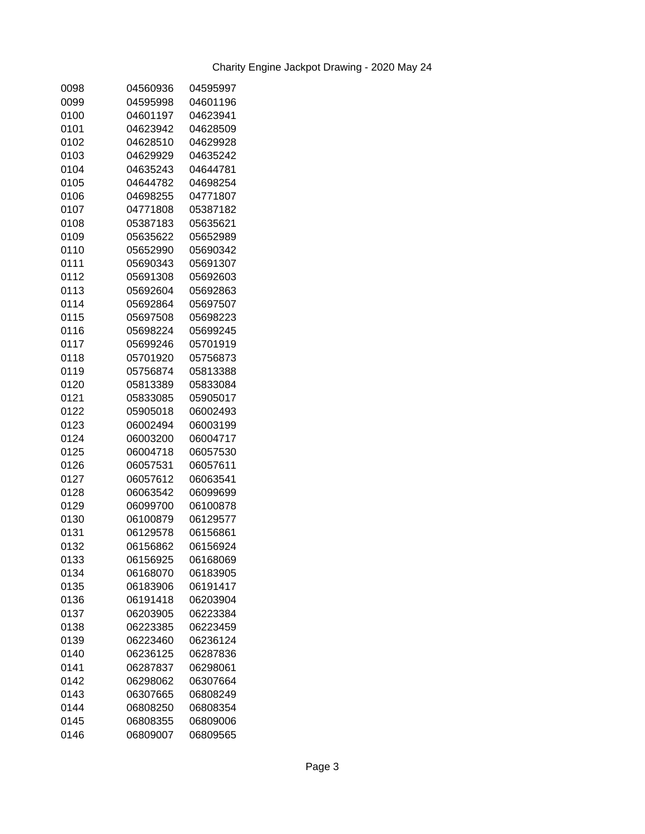| 0098 | 04560936 | 04595997 |
|------|----------|----------|
| 0099 | 04595998 | 04601196 |
| 0100 | 04601197 | 04623941 |
| 0101 | 04623942 | 04628509 |
| 0102 | 04628510 | 04629928 |
| 0103 | 04629929 | 04635242 |
| 0104 | 04635243 | 04644781 |
| 0105 | 04644782 | 04698254 |
| 0106 | 04698255 | 04771807 |
| 0107 | 04771808 | 05387182 |
| 0108 | 05387183 | 05635621 |
| 0109 | 05635622 | 05652989 |
| 0110 | 05652990 | 05690342 |
| 0111 | 05690343 | 05691307 |
| 0112 | 05691308 | 05692603 |
| 0113 | 05692604 | 05692863 |
| 0114 | 05692864 | 05697507 |
| 0115 | 05697508 | 05698223 |
| 0116 | 05698224 | 05699245 |
| 0117 | 05699246 | 05701919 |
| 0118 | 05701920 | 05756873 |
| 0119 | 05756874 | 05813388 |
| 0120 | 05813389 | 05833084 |
| 0121 | 05833085 | 05905017 |
| 0122 | 05905018 | 06002493 |
| 0123 | 06002494 | 06003199 |
| 0124 | 06003200 | 06004717 |
| 0125 | 06004718 | 06057530 |
| 0126 | 06057531 | 06057611 |
| 0127 | 06057612 | 06063541 |
| 0128 | 06063542 | 06099699 |
| 0129 | 06099700 | 06100878 |
| 0130 | 06100879 | 06129577 |
| 0131 | 06129578 | 06156861 |
| 0132 | 06156862 | 06156924 |
| 0133 | 06156925 | 06168069 |
| 0134 | 06168070 | 06183905 |
| 0135 | 06183906 | 06191417 |
| 0136 | 06191418 | 06203904 |
| 0137 | 06203905 | 06223384 |
| 0138 | 06223385 | 06223459 |
| 0139 | 06223460 | 06236124 |
| 0140 | 06236125 | 06287836 |
| 0141 | 06287837 | 06298061 |
| 0142 | 06298062 | 06307664 |
| 0143 | 06307665 | 06808249 |
| 0144 | 06808250 | 06808354 |
| 0145 | 06808355 | 06809006 |
| 0146 | 06809007 | 06809565 |
|      |          |          |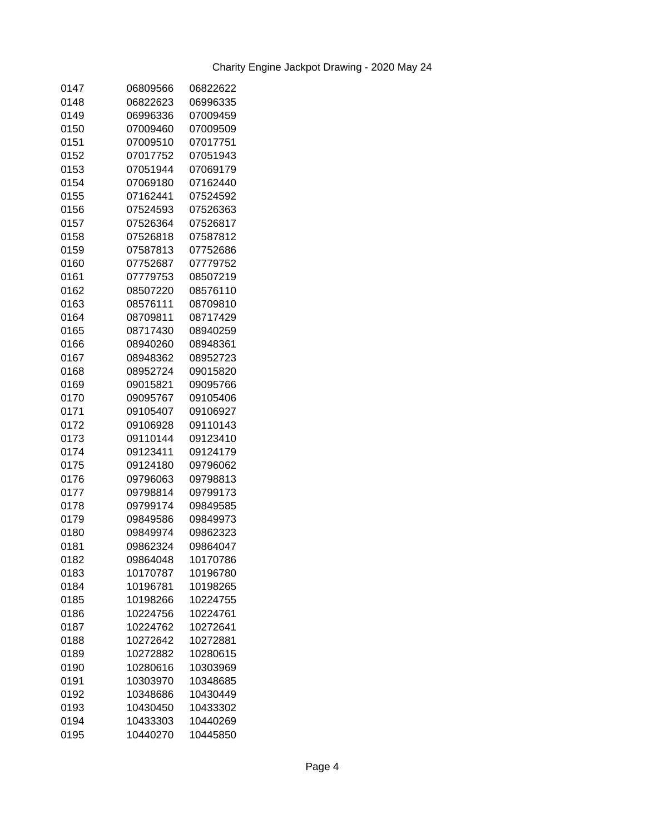| 0147 | 06809566 | 06822622 |
|------|----------|----------|
| 0148 | 06822623 | 06996335 |
| 0149 | 06996336 | 07009459 |
| 0150 | 07009460 | 07009509 |
| 0151 | 07009510 | 07017751 |
| 0152 | 07017752 | 07051943 |
| 0153 | 07051944 | 07069179 |
| 0154 | 07069180 | 07162440 |
| 0155 | 07162441 | 07524592 |
| 0156 | 07524593 | 07526363 |
| 0157 | 07526364 | 07526817 |
| 0158 | 07526818 | 07587812 |
| 0159 | 07587813 | 07752686 |
| 0160 | 07752687 | 07779752 |
| 0161 | 07779753 | 08507219 |
| 0162 | 08507220 | 08576110 |
| 0163 | 08576111 | 08709810 |
| 0164 | 08709811 | 08717429 |
| 0165 | 08717430 | 08940259 |
| 0166 | 08940260 | 08948361 |
| 0167 | 08948362 | 08952723 |
| 0168 | 08952724 | 09015820 |
| 0169 | 09015821 | 09095766 |
| 0170 | 09095767 | 09105406 |
| 0171 | 09105407 | 09106927 |
| 0172 | 09106928 | 09110143 |
| 0173 | 09110144 | 09123410 |
| 0174 | 09123411 | 09124179 |
| 0175 | 09124180 | 09796062 |
| 0176 | 09796063 | 09798813 |
| 0177 | 09798814 | 09799173 |
| 0178 | 09799174 | 09849585 |
| 0179 | 09849586 | 09849973 |
| 0180 | 09849974 | 09862323 |
| 0181 | 09862324 | 09864047 |
| 0182 | 09864048 | 10170786 |
| 0183 | 10170787 | 10196780 |
| 0184 | 10196781 | 10198265 |
| 0185 | 10198266 | 10224755 |
| 0186 | 10224756 | 10224761 |
| 0187 | 10224762 | 10272641 |
| 0188 | 10272642 | 10272881 |
| 0189 | 10272882 | 10280615 |
| 0190 | 10280616 | 10303969 |
| 0191 | 10303970 | 10348685 |
| 0192 | 10348686 | 10430449 |
| 0193 | 10430450 | 10433302 |
| 0194 | 10433303 | 10440269 |
| 0195 | 10440270 | 10445850 |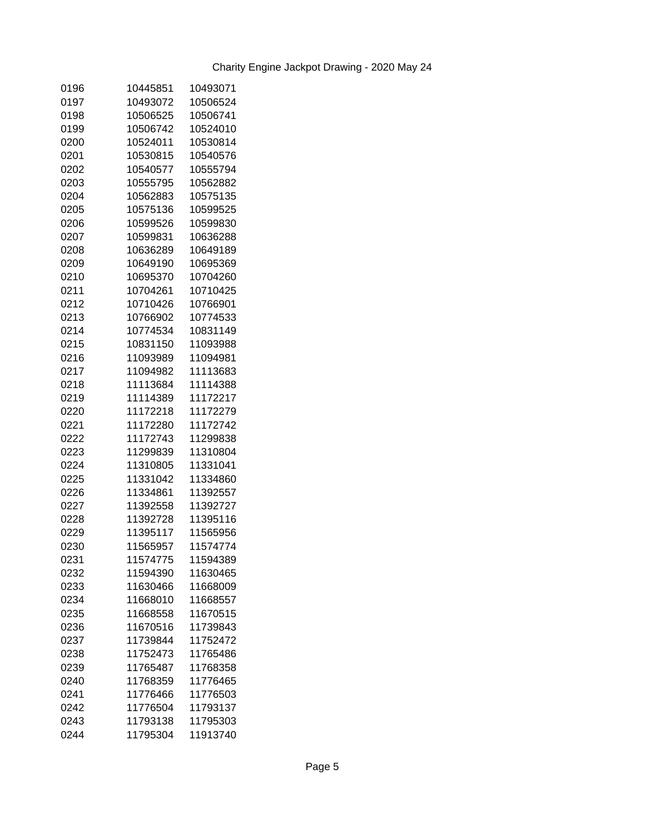| 0196 | 10445851 | 10493071 |
|------|----------|----------|
| 0197 | 10493072 | 10506524 |
| 0198 | 10506525 | 10506741 |
| 0199 | 10506742 | 10524010 |
| 0200 | 10524011 | 10530814 |
| 0201 | 10530815 | 10540576 |
| 0202 | 10540577 | 10555794 |
| 0203 | 10555795 | 10562882 |
| 0204 | 10562883 | 10575135 |
| 0205 | 10575136 | 10599525 |
| 0206 | 10599526 | 10599830 |
| 0207 | 10599831 | 10636288 |
| 0208 | 10636289 | 10649189 |
| 0209 | 10649190 | 10695369 |
| 0210 | 10695370 | 10704260 |
| 0211 | 10704261 | 10710425 |
| 0212 | 10710426 | 10766901 |
| 0213 | 10766902 | 10774533 |
| 0214 | 10774534 | 10831149 |
| 0215 | 10831150 | 11093988 |
| 0216 | 11093989 | 11094981 |
| 0217 | 11094982 | 11113683 |
| 0218 | 11113684 | 11114388 |
| 0219 | 11114389 | 11172217 |
| 0220 | 11172218 | 11172279 |
| 0221 | 11172280 | 11172742 |
| 0222 | 11172743 | 11299838 |
| 0223 | 11299839 | 11310804 |
| 0224 | 11310805 | 11331041 |
| 0225 | 11331042 | 11334860 |
| 0226 | 11334861 | 11392557 |
| 0227 | 11392558 | 11392727 |
| 0228 | 11392728 | 11395116 |
| 0229 | 11395117 | 11565956 |
| 0230 | 11565957 | 11574774 |
| 0231 | 11574775 | 11594389 |
| 0232 | 11594390 | 11630465 |
| 0233 | 11630466 | 11668009 |
| 0234 | 11668010 | 11668557 |
| 0235 | 11668558 | 11670515 |
| 0236 | 11670516 | 11739843 |
| 0237 | 11739844 | 11752472 |
| 0238 | 11752473 | 11765486 |
| 0239 | 11765487 | 11768358 |
| 0240 | 11768359 | 11776465 |
| 0241 | 11776466 | 11776503 |
| 0242 | 11776504 | 11793137 |
| 0243 | 11793138 | 11795303 |
| 0244 | 11795304 | 11913740 |
|      |          |          |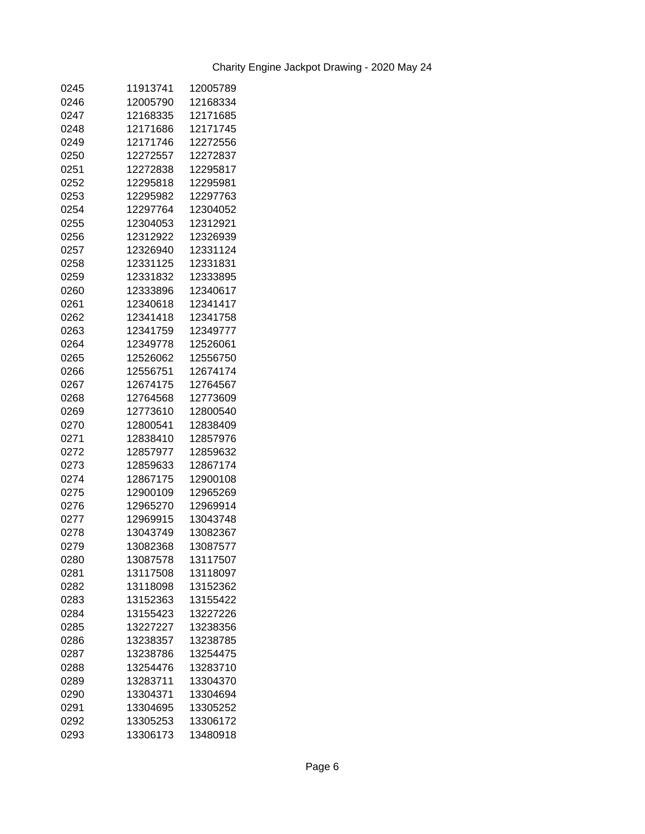| 0245 | 11913741 | 12005789 |
|------|----------|----------|
| 0246 | 12005790 | 12168334 |
| 0247 | 12168335 | 12171685 |
| 0248 | 12171686 | 12171745 |
| 0249 | 12171746 | 12272556 |
| 0250 | 12272557 | 12272837 |
| 0251 | 12272838 | 12295817 |
| 0252 | 12295818 | 12295981 |
| 0253 | 12295982 | 12297763 |
| 0254 | 12297764 | 12304052 |
| 0255 | 12304053 | 12312921 |
| 0256 | 12312922 | 12326939 |
| 0257 | 12326940 | 12331124 |
| 0258 | 12331125 | 12331831 |
| 0259 | 12331832 | 12333895 |
| 0260 | 12333896 | 12340617 |
| 0261 | 12340618 | 12341417 |
| 0262 | 12341418 | 12341758 |
| 0263 | 12341759 | 12349777 |
| 0264 | 12349778 | 12526061 |
| 0265 | 12526062 | 12556750 |
| 0266 | 12556751 | 12674174 |
| 0267 | 12674175 | 12764567 |
| 0268 | 12764568 | 12773609 |
| 0269 | 12773610 | 12800540 |
| 0270 | 12800541 | 12838409 |
| 0271 | 12838410 | 12857976 |
| 0272 | 12857977 | 12859632 |
| 0273 | 12859633 | 12867174 |
| 0274 | 12867175 | 12900108 |
| 0275 | 12900109 | 12965269 |
| 0276 | 12965270 | 12969914 |
| 0277 | 12969915 | 13043748 |
| 0278 | 13043749 | 13082367 |
| 0279 | 13082368 | 13087577 |
| 0280 | 13087578 | 13117507 |
| 0281 | 13117508 | 13118097 |
| 0282 | 13118098 | 13152362 |
| 0283 | 13152363 | 13155422 |
| 0284 | 13155423 | 13227226 |
| 0285 | 13227227 | 13238356 |
| 0286 | 13238357 | 13238785 |
| 0287 | 13238786 | 13254475 |
| 0288 | 13254476 | 13283710 |
| 0289 | 13283711 | 13304370 |
| 0290 | 13304371 | 13304694 |
| 0291 | 13304695 | 13305252 |
| 0292 | 13305253 | 13306172 |
| 0293 | 13306173 | 13480918 |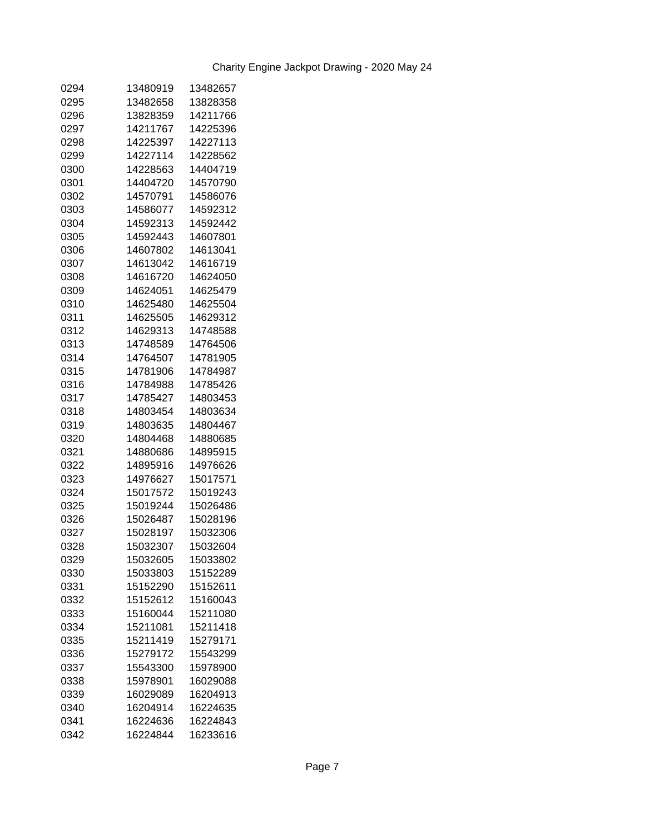| 0294 | 13480919 | 13482657 |
|------|----------|----------|
| 0295 | 13482658 | 13828358 |
| 0296 | 13828359 | 14211766 |
| 0297 | 14211767 | 14225396 |
| 0298 | 14225397 | 14227113 |
| 0299 | 14227114 | 14228562 |
| 0300 | 14228563 | 14404719 |
| 0301 | 14404720 | 14570790 |
| 0302 | 14570791 | 14586076 |
| 0303 | 14586077 | 14592312 |
| 0304 | 14592313 | 14592442 |
| 0305 | 14592443 | 14607801 |
| 0306 | 14607802 | 14613041 |
| 0307 | 14613042 | 14616719 |
| 0308 | 14616720 | 14624050 |
| 0309 | 14624051 | 14625479 |
| 0310 | 14625480 | 14625504 |
| 0311 | 14625505 | 14629312 |
| 0312 | 14629313 | 14748588 |
| 0313 | 14748589 | 14764506 |
| 0314 | 14764507 | 14781905 |
| 0315 | 14781906 | 14784987 |
| 0316 | 14784988 | 14785426 |
| 0317 | 14785427 | 14803453 |
| 0318 | 14803454 | 14803634 |
| 0319 | 14803635 | 14804467 |
| 0320 | 14804468 | 14880685 |
| 0321 | 14880686 | 14895915 |
| 0322 | 14895916 | 14976626 |
| 0323 | 14976627 | 15017571 |
| 0324 | 15017572 | 15019243 |
| 0325 | 15019244 | 15026486 |
| 0326 | 15026487 | 15028196 |
| 0327 | 15028197 | 15032306 |
| 0328 | 15032307 | 15032604 |
| 0329 | 15032605 | 15033802 |
| 0330 | 15033803 | 15152289 |
| 0331 | 15152290 | 15152611 |
| 0332 | 15152612 | 15160043 |
| 0333 | 15160044 | 15211080 |
| 0334 | 15211081 | 15211418 |
| 0335 | 15211419 | 15279171 |
| 0336 | 15279172 | 15543299 |
| 0337 | 15543300 | 15978900 |
| 0338 | 15978901 | 16029088 |
| 0339 | 16029089 | 16204913 |
| 0340 | 16204914 | 16224635 |
| 0341 | 16224636 | 16224843 |
| 0342 | 16224844 | 16233616 |
|      |          |          |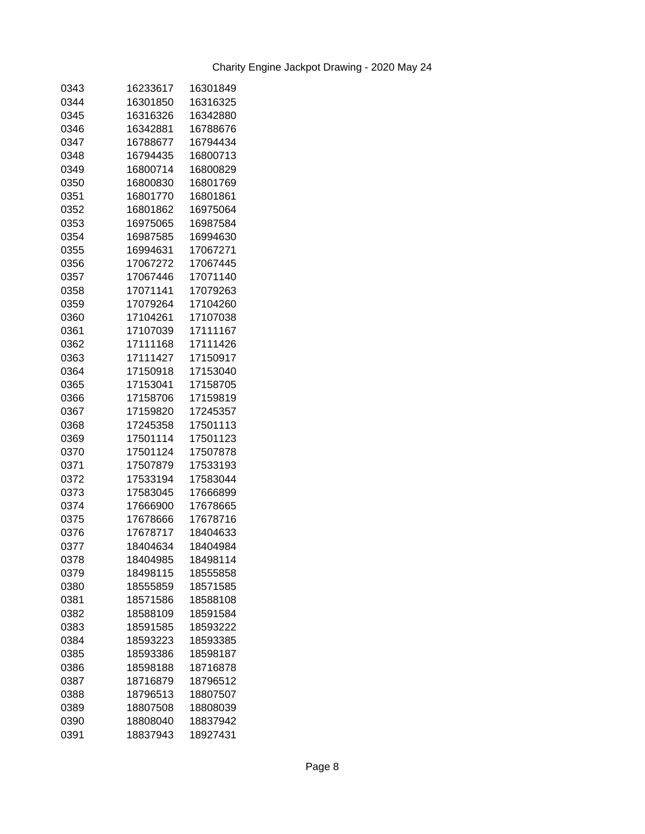| 0343 | 16233617 | 16301849 |
|------|----------|----------|
| 0344 | 16301850 | 16316325 |
| 0345 | 16316326 | 16342880 |
| 0346 | 16342881 | 16788676 |
| 0347 | 16788677 | 16794434 |
| 0348 | 16794435 | 16800713 |
| 0349 | 16800714 | 16800829 |
| 0350 | 16800830 | 16801769 |
| 0351 | 16801770 | 16801861 |
| 0352 | 16801862 | 16975064 |
| 0353 | 16975065 | 16987584 |
| 0354 | 16987585 | 16994630 |
| 0355 | 16994631 | 17067271 |
| 0356 | 17067272 | 17067445 |
| 0357 | 17067446 | 17071140 |
| 0358 | 17071141 | 17079263 |
| 0359 | 17079264 | 17104260 |
| 0360 | 17104261 | 17107038 |
| 0361 | 17107039 | 17111167 |
| 0362 | 17111168 | 17111426 |
| 0363 | 17111427 | 17150917 |
| 0364 | 17150918 | 17153040 |
| 0365 | 17153041 | 17158705 |
| 0366 | 17158706 | 17159819 |
| 0367 | 17159820 | 17245357 |
| 0368 | 17245358 | 17501113 |
| 0369 | 17501114 | 17501123 |
| 0370 | 17501124 | 17507878 |
| 0371 | 17507879 | 17533193 |
| 0372 | 17533194 | 17583044 |
| 0373 | 17583045 | 17666899 |
| 0374 | 17666900 | 17678665 |
| 0375 | 17678666 | 17678716 |
| 0376 | 17678717 | 18404633 |
| 0377 | 18404634 | 18404984 |
| 0378 | 18404985 | 18498114 |
| 0379 | 18498115 | 18555858 |
| 0380 | 18555859 | 18571585 |
| 0381 | 18571586 | 18588108 |
| 0382 | 18588109 | 18591584 |
| 0383 | 18591585 | 18593222 |
| 0384 | 18593223 | 18593385 |
| 0385 | 18593386 | 18598187 |
| 0386 | 18598188 | 18716878 |
| 0387 | 18716879 | 18796512 |
| 0388 | 18796513 | 18807507 |
| 0389 | 18807508 | 18808039 |
| 0390 | 18808040 | 18837942 |
| 0391 | 18837943 | 18927431 |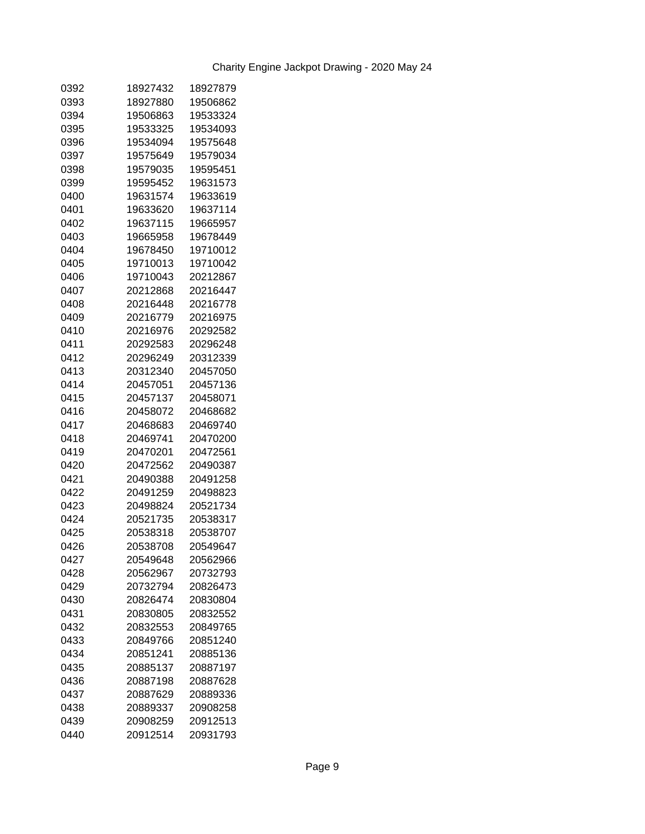| 0392 | 18927432 | 18927879 |
|------|----------|----------|
| 0393 | 18927880 | 19506862 |
| 0394 | 19506863 | 19533324 |
| 0395 | 19533325 | 19534093 |
| 0396 | 19534094 | 19575648 |
| 0397 | 19575649 | 19579034 |
| 0398 | 19579035 | 19595451 |
| 0399 | 19595452 | 19631573 |
| 0400 | 19631574 | 19633619 |
| 0401 | 19633620 | 19637114 |
| 0402 | 19637115 | 19665957 |
| 0403 | 19665958 | 19678449 |
| 0404 | 19678450 | 19710012 |
| 0405 | 19710013 | 19710042 |
| 0406 | 19710043 | 20212867 |
| 0407 | 20212868 | 20216447 |
| 0408 | 20216448 | 20216778 |
| 0409 | 20216779 | 20216975 |
| 0410 | 20216976 | 20292582 |
| 0411 | 20292583 | 20296248 |
| 0412 | 20296249 | 20312339 |
| 0413 | 20312340 | 20457050 |
| 0414 | 20457051 | 20457136 |
| 0415 | 20457137 | 20458071 |
| 0416 | 20458072 | 20468682 |
| 0417 | 20468683 | 20469740 |
| 0418 | 20469741 | 20470200 |
| 0419 | 20470201 | 20472561 |
| 0420 | 20472562 | 20490387 |
| 0421 | 20490388 | 20491258 |
| 0422 | 20491259 | 20498823 |
| 0423 | 20498824 | 20521734 |
| 0424 | 20521735 | 20538317 |
| 0425 | 20538318 | 20538707 |
| 0426 | 20538708 | 20549647 |
| 0427 | 20549648 | 20562966 |
| 0428 | 20562967 | 20732793 |
| 0429 | 20732794 | 20826473 |
| 0430 | 20826474 | 20830804 |
| 0431 | 20830805 | 20832552 |
| 0432 | 20832553 | 20849765 |
| 0433 | 20849766 | 20851240 |
| 0434 | 20851241 | 20885136 |
| 0435 | 20885137 | 20887197 |
| 0436 | 20887198 | 20887628 |
| 0437 | 20887629 | 20889336 |
| 0438 | 20889337 | 20908258 |
| 0439 | 20908259 | 20912513 |
| 0440 | 20912514 | 20931793 |
|      |          |          |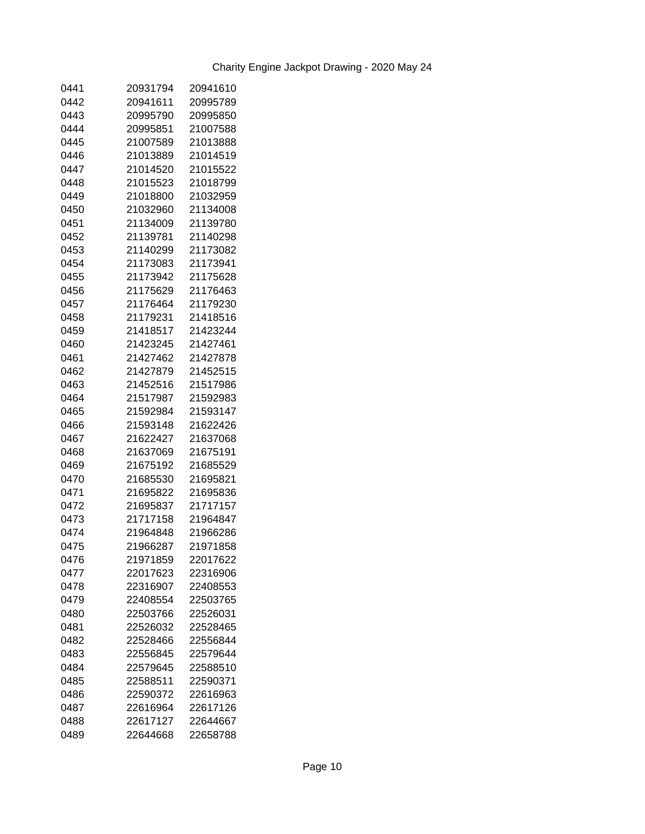| 0441 | 20931794 | 20941610 |
|------|----------|----------|
| 0442 | 20941611 | 20995789 |
| 0443 | 20995790 | 20995850 |
| 0444 | 20995851 | 21007588 |
| 0445 | 21007589 | 21013888 |
| 0446 | 21013889 | 21014519 |
| 0447 | 21014520 | 21015522 |
| 0448 | 21015523 | 21018799 |
| 0449 | 21018800 | 21032959 |
| 0450 | 21032960 | 21134008 |
| 0451 | 21134009 | 21139780 |
| 0452 | 21139781 | 21140298 |
| 0453 | 21140299 | 21173082 |
| 0454 | 21173083 | 21173941 |
| 0455 | 21173942 | 21175628 |
| 0456 | 21175629 | 21176463 |
| 0457 | 21176464 | 21179230 |
| 0458 | 21179231 | 21418516 |
| 0459 | 21418517 | 21423244 |
| 0460 | 21423245 | 21427461 |
| 0461 | 21427462 | 21427878 |
| 0462 | 21427879 | 21452515 |
| 0463 | 21452516 | 21517986 |
| 0464 | 21517987 | 21592983 |
| 0465 | 21592984 | 21593147 |
| 0466 | 21593148 | 21622426 |
| 0467 | 21622427 | 21637068 |
| 0468 | 21637069 | 21675191 |
| 0469 | 21675192 | 21685529 |
| 0470 | 21685530 | 21695821 |
| 0471 | 21695822 | 21695836 |
| 0472 | 21695837 | 21717157 |
| 0473 | 21717158 | 21964847 |
| 0474 | 21964848 | 21966286 |
| 0475 | 21966287 | 21971858 |
| 0476 | 21971859 | 22017622 |
| 0477 | 22017623 | 22316906 |
| 0478 | 22316907 | 22408553 |
| 0479 | 22408554 | 22503765 |
| 0480 | 22503766 | 22526031 |
| 0481 | 22526032 | 22528465 |
| 0482 | 22528466 | 22556844 |
| 0483 | 22556845 | 22579644 |
| 0484 | 22579645 | 22588510 |
| 0485 | 22588511 | 22590371 |
| 0486 | 22590372 | 22616963 |
| 0487 | 22616964 | 22617126 |
| 0488 | 22617127 | 22644667 |
| 0489 | 22644668 | 22658788 |
|      |          |          |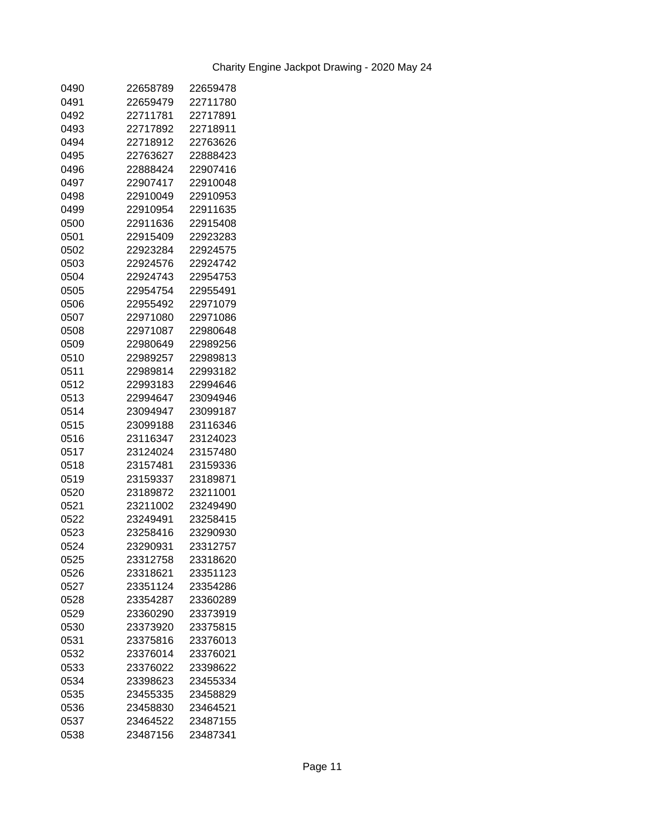| 0490 | 22658789 | 22659478 |
|------|----------|----------|
| 0491 | 22659479 | 22711780 |
| 0492 | 22711781 | 22717891 |
| 0493 | 22717892 | 22718911 |
| 0494 | 22718912 | 22763626 |
| 0495 | 22763627 | 22888423 |
| 0496 | 22888424 | 22907416 |
| 0497 | 22907417 | 22910048 |
| 0498 | 22910049 | 22910953 |
| 0499 | 22910954 | 22911635 |
| 0500 | 22911636 | 22915408 |
| 0501 | 22915409 | 22923283 |
| 0502 | 22923284 | 22924575 |
| 0503 | 22924576 | 22924742 |
| 0504 | 22924743 | 22954753 |
| 0505 | 22954754 | 22955491 |
| 0506 | 22955492 | 22971079 |
| 0507 | 22971080 | 22971086 |
| 0508 | 22971087 | 22980648 |
| 0509 | 22980649 | 22989256 |
| 0510 | 22989257 | 22989813 |
| 0511 | 22989814 | 22993182 |
| 0512 | 22993183 | 22994646 |
| 0513 | 22994647 | 23094946 |
| 0514 | 23094947 | 23099187 |
| 0515 | 23099188 | 23116346 |
| 0516 | 23116347 | 23124023 |
| 0517 | 23124024 | 23157480 |
| 0518 | 23157481 | 23159336 |
| 0519 | 23159337 | 23189871 |
| 0520 | 23189872 | 23211001 |
| 0521 | 23211002 | 23249490 |
| 0522 | 23249491 | 23258415 |
| 0523 | 23258416 | 23290930 |
| 0524 | 23290931 | 23312757 |
| 0525 | 23312758 | 23318620 |
| 0526 | 23318621 | 23351123 |
| 0527 | 23351124 | 23354286 |
| 0528 | 23354287 | 23360289 |
| 0529 | 23360290 | 23373919 |
| 0530 | 23373920 | 23375815 |
| 0531 | 23375816 | 23376013 |
| 0532 | 23376014 | 23376021 |
| 0533 | 23376022 | 23398622 |
| 0534 | 23398623 | 23455334 |
| 0535 | 23455335 | 23458829 |
| 0536 | 23458830 | 23464521 |
| 0537 | 23464522 | 23487155 |
| 0538 | 23487156 | 23487341 |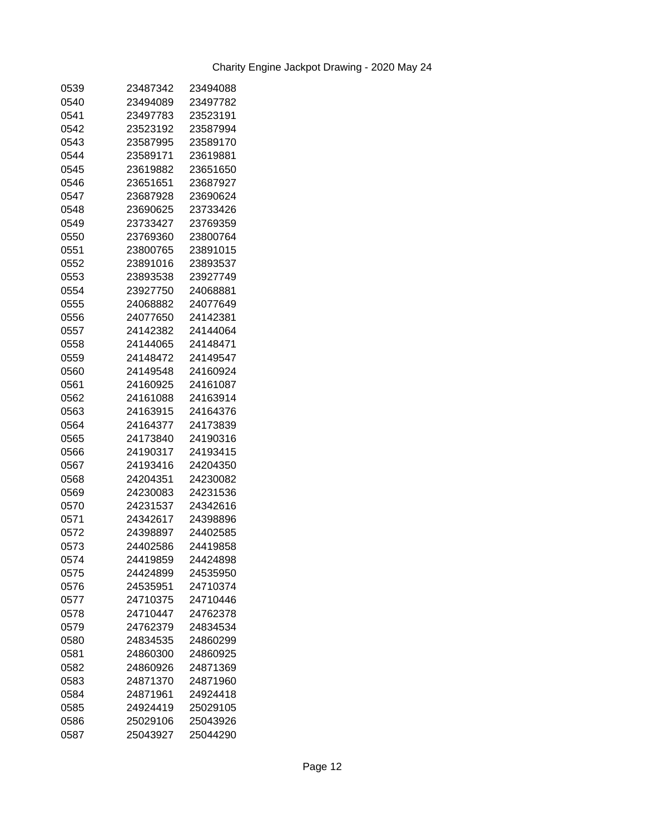| 0539         | 23487342 | 23494088 |
|--------------|----------|----------|
| 0540         | 23494089 | 23497782 |
| 0541         | 23497783 | 23523191 |
| 0542         | 23523192 | 23587994 |
| 0543         | 23587995 | 23589170 |
| 0544         | 23589171 | 23619881 |
| 0545         | 23619882 | 23651650 |
| 0546         | 23651651 | 23687927 |
| 0547         | 23687928 | 23690624 |
| 0548         | 23690625 | 23733426 |
| 0549         | 23733427 | 23769359 |
| 0550         | 23769360 | 23800764 |
| 0551         | 23800765 | 23891015 |
| 0552         | 23891016 | 23893537 |
| 0553         | 23893538 | 23927749 |
| 0554         | 23927750 | 24068881 |
| 0555         | 24068882 | 24077649 |
| 0556         | 24077650 | 24142381 |
| 0557         | 24142382 | 24144064 |
| 0558         | 24144065 | 24148471 |
| 0559         | 24148472 | 24149547 |
| 0560         | 24149548 | 24160924 |
| 0561         | 24160925 | 24161087 |
| 0562         | 24161088 | 24163914 |
| 0563         | 24163915 | 24164376 |
| 0564         | 24164377 | 24173839 |
| 0565         | 24173840 | 24190316 |
| 0566         | 24190317 | 24193415 |
| 0567         | 24193416 | 24204350 |
| 0568         | 24204351 | 24230082 |
| 0569         | 24230083 | 24231536 |
| 0570         | 24231537 | 24342616 |
| 0571         | 24342617 | 24398896 |
| 0572         | 24398897 | 24402585 |
| 0573         | 24402586 | 24419858 |
|              | 24419859 | 24424898 |
| 0574<br>0575 | 24424899 | 24535950 |
| 0576         | 24535951 | 24710374 |
| 0577         | 24710375 | 24710446 |
|              |          |          |
| 0578         | 24710447 | 24762378 |
| 0579         | 24762379 | 24834534 |
| 0580         | 24834535 | 24860299 |
| 0581         | 24860300 | 24860925 |
| 0582         | 24860926 | 24871369 |
| 0583         | 24871370 | 24871960 |
| 0584         | 24871961 | 24924418 |
| 0585         | 24924419 | 25029105 |
| 0586         | 25029106 | 25043926 |
| 0587         | 25043927 | 25044290 |